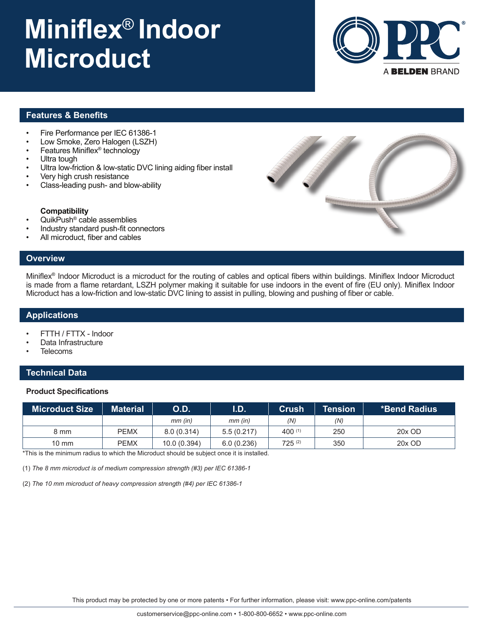# **Miniflex**® **Indoor Microduct**



## **Features & Benefits**

- Fire Performance per IEC 61386-1
- Low Smoke, Zero Halogen (LSZH)
- Features Miniflex® technology
- Ultra tough
- Ultra low-friction & low-static DVC lining aiding fiber install
- Very high crush resistance
- Class-leading push- and blow-ability

#### **Compatibility**

- QuikPush® cable assemblies
- Industry standard push-fit connectors
- All microduct, fiber and cables

## **Overview**

Miniflex® Indoor Microduct is a microduct for the routing of cables and optical fibers within buildings. Miniflex Indoor Microduct is made from a flame retardant, LSZH polymer making it suitable for use indoors in the event of fire (EU only). Miniflex Indoor Microduct has a low-friction and low-static DVC lining to assist in pulling, blowing and pushing of fiber or cable.

#### **Applications**

- FTTH / FTTX Indoor
- Data Infrastructure
- **Telecoms**

### **Technical Data**

#### **Product Specifications**

| <b>Microduct Size</b> | Material | <b>O.D.</b>  | I.D.<br><b>Crush</b> |             | Tension <b>\</b> | <b>ˈ *Bend Radius</b> 』 |  |
|-----------------------|----------|--------------|----------------------|-------------|------------------|-------------------------|--|
|                       |          | $mm$ (in)    | $mm$ (in)            | (N)         | (N)              |                         |  |
| 8 mm                  | PEMX     | 8.0(0.314)   | 5.5(0.217)           | $400^{(1)}$ | 250              | 20x OD                  |  |
| $10 \text{ mm}$       | PEMX     | 10.0 (0.394) | 6.0(0.236)           | $725^{(2)}$ | 350              | 20x OD                  |  |

\*This is the minimum radius to which the Microduct should be subject once it is installed.

(1) *The 8 mm microduct is of medium compression strength (#3) per IEC 61386-1*

(2) *The 10 mm microduct of heavy compression strength (#4) per IEC 61386-1*

This product may be protected by one or more patents • For further information, please visit: www.ppc-online.com/patents